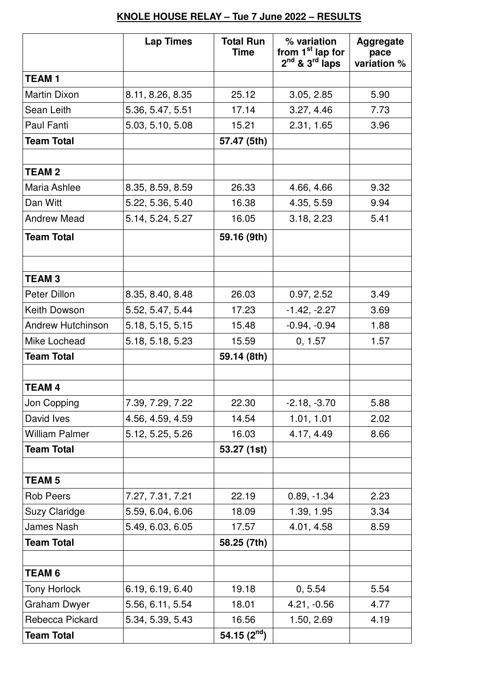## **KNOLE HOUSE RELAY – Tue 7 June 2022 – RESULTS**

|                          | <b>Lap Times</b> | <b>Total Run</b><br><b>Time</b> | % variation<br>from 1 <sup>st</sup> lap for<br>$2^{nd}$ & $3^{rd}$ laps | <b>Aggregate</b><br>pace<br>variation % |
|--------------------------|------------------|---------------------------------|-------------------------------------------------------------------------|-----------------------------------------|
| <b>TEAM1</b>             |                  |                                 |                                                                         |                                         |
| <b>Martin Dixon</b>      | 8.11, 8.26, 8.35 | 25.12                           | 3.05, 2.85                                                              | 5.90                                    |
| Sean Leith               | 5.36, 5.47, 5.51 | 17.14                           | 3.27, 4.46                                                              | 7.73                                    |
| Paul Fanti               | 5.03, 5.10, 5.08 | 15.21                           | 2.31, 1.65                                                              | 3.96                                    |
| <b>Team Total</b>        |                  | 57.47 (5th)                     |                                                                         |                                         |
|                          |                  |                                 |                                                                         |                                         |
| <b>TEAM2</b>             |                  |                                 |                                                                         |                                         |
| Maria Ashlee             | 8.35, 8.59, 8.59 | 26.33                           | 4.66, 4.66                                                              | 9.32                                    |
| Dan Witt                 | 5.22, 5.36, 5.40 | 16.38                           | 4.35, 5.59                                                              | 9.94                                    |
| <b>Andrew Mead</b>       | 5.14, 5.24, 5.27 | 16.05                           | 3.18, 2.23                                                              | 5.41                                    |
| <b>Team Total</b>        |                  | 59.16 (9th)                     |                                                                         |                                         |
|                          |                  |                                 |                                                                         |                                         |
| <b>TEAM3</b>             |                  |                                 |                                                                         |                                         |
| Peter Dillon             | 8.35, 8.40, 8.48 | 26.03                           | 0.97, 2.52                                                              | 3.49                                    |
| Keith Dowson             | 5.52, 5.47, 5.44 | 17.23                           | $-1.42, -2.27$                                                          | 3.69                                    |
| <b>Andrew Hutchinson</b> | 5.18, 5.15, 5.15 | 15.48                           | $-0.94, -0.94$                                                          | 1.88                                    |
| Mike Lochead             | 5.18, 5.18, 5.23 | 15.59                           | 0, 1.57                                                                 | 1.57                                    |
| <b>Team Total</b>        |                  | 59.14 (8th)                     |                                                                         |                                         |
|                          |                  |                                 |                                                                         |                                         |
| <b>TEAM4</b>             |                  |                                 |                                                                         |                                         |
| Jon Copping              | 7.39, 7.29, 7.22 | 22.30                           | $-2.18, -3.70$                                                          | 5.88                                    |
| David Ives               | 4.56, 4.59, 4.59 | 14.54                           | 1.01, 1.01                                                              | 2.02                                    |
| <b>William Palmer</b>    | 5.12, 5.25, 5.26 | 16.03                           | 4.17, 4.49                                                              | 8.66                                    |
| <b>Team Total</b>        |                  | 53.27 (1st)                     |                                                                         |                                         |
| <b>TEAM 5</b>            |                  |                                 |                                                                         |                                         |
| <b>Rob Peers</b>         | 7.27, 7.31, 7.21 | 22.19                           | $0.89, -1.34$                                                           | 2.23                                    |
| <b>Suzy Claridge</b>     | 5.59, 6.04, 6.06 | 18.09                           | 1.39, 1.95                                                              | 3.34                                    |
| James Nash               | 5.49, 6.03, 6.05 | 17.57                           | 4.01, 4.58                                                              | 8.59                                    |
| <b>Team Total</b>        |                  | 58.25 (7th)                     |                                                                         |                                         |
|                          |                  |                                 |                                                                         |                                         |
| <b>TEAM 6</b>            |                  |                                 |                                                                         |                                         |
| <b>Tony Horlock</b>      | 6.19, 6.19, 6.40 | 19.18                           | 0, 5.54                                                                 | 5.54                                    |
| <b>Graham Dwyer</b>      | 5.56, 6.11, 5.54 | 18.01                           | 4.21, -0.56                                                             | 4.77                                    |
| Rebecca Pickard          | 5.34, 5.39, 5.43 | 16.56                           | 1.50, 2.69                                                              | 4.19                                    |
| <b>Team Total</b>        |                  | 54.15 $(2^{nd})$                |                                                                         |                                         |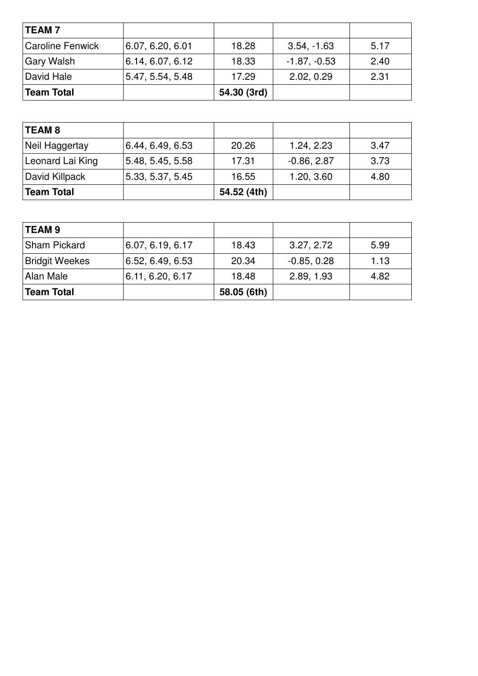| <b>TEAM7</b>            |                  |             |                |      |
|-------------------------|------------------|-------------|----------------|------|
| <b>Caroline Fenwick</b> | 6.07, 6.20, 6.01 | 18.28       | $3.54, -1.63$  | 5.17 |
| <b>Gary Walsh</b>       | 6.14, 6.07, 6.12 | 18.33       | $-1.87, -0.53$ | 2.40 |
| David Hale              | 5.47, 5.54, 5.48 | 17.29       | 2.02, 0.29     | 2.31 |
| <b>Team Total</b>       |                  | 54.30 (3rd) |                |      |

| <b>TEAM 8</b>     |                  |             |               |      |
|-------------------|------------------|-------------|---------------|------|
| Neil Haggertay    | 6.44, 6.49, 6.53 | 20.26       | 1.24, 2.23    | 3.47 |
| Leonard Lai King  | 5.48, 5.45, 5.58 | 17.31       | $-0.86, 2.87$ | 3.73 |
| David Killpack    | 5.33, 5.37, 5.45 | 16.55       | 1.20, 3.60    | 4.80 |
| <b>Team Total</b> |                  | 54.52 (4th) |               |      |

| <b>TEAM 9</b>         |                  |             |               |      |
|-----------------------|------------------|-------------|---------------|------|
| <b>Sham Pickard</b>   | 6.07, 6.19, 6.17 | 18.43       | 3.27, 2.72    | 5.99 |
| <b>Bridgit Weekes</b> | 6.52, 6.49, 6.53 | 20.34       | $-0.85, 0.28$ | 1.13 |
| Alan Male             | 6.11, 6.20, 6.17 | 18.48       | 2.89, 1.93    | 4.82 |
| Team Total            |                  | 58.05 (6th) |               |      |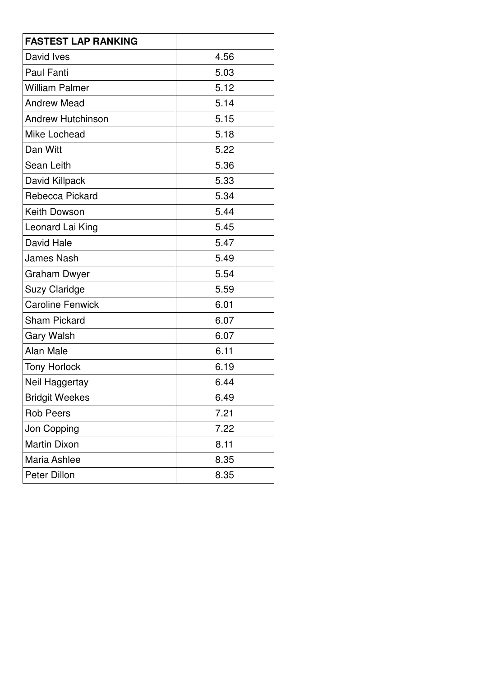| <b>FASTEST LAP RANKING</b> |      |
|----------------------------|------|
| David Ives                 | 4.56 |
| <b>Paul Fanti</b>          | 5.03 |
| <b>William Palmer</b>      | 5.12 |
| <b>Andrew Mead</b>         | 5.14 |
| <b>Andrew Hutchinson</b>   | 5.15 |
| Mike Lochead               | 5.18 |
| Dan Witt                   | 5.22 |
| Sean Leith                 | 5.36 |
| David Killpack             | 5.33 |
| Rebecca Pickard            | 5.34 |
| Keith Dowson               | 5.44 |
| Leonard Lai King           | 5.45 |
| David Hale                 | 5.47 |
| <b>James Nash</b>          | 5.49 |
| <b>Graham Dwyer</b>        | 5.54 |
| <b>Suzy Claridge</b>       | 5.59 |
| <b>Caroline Fenwick</b>    | 6.01 |
| <b>Sham Pickard</b>        | 6.07 |
| <b>Gary Walsh</b>          | 6.07 |
| Alan Male                  | 6.11 |
| <b>Tony Horlock</b>        | 6.19 |
| Neil Haggertay             | 6.44 |
| <b>Bridgit Weekes</b>      | 6.49 |
| <b>Rob Peers</b>           | 7.21 |
| Jon Copping                | 7.22 |
| <b>Martin Dixon</b>        | 8.11 |
| Maria Ashlee               | 8.35 |
| Peter Dillon               | 8.35 |